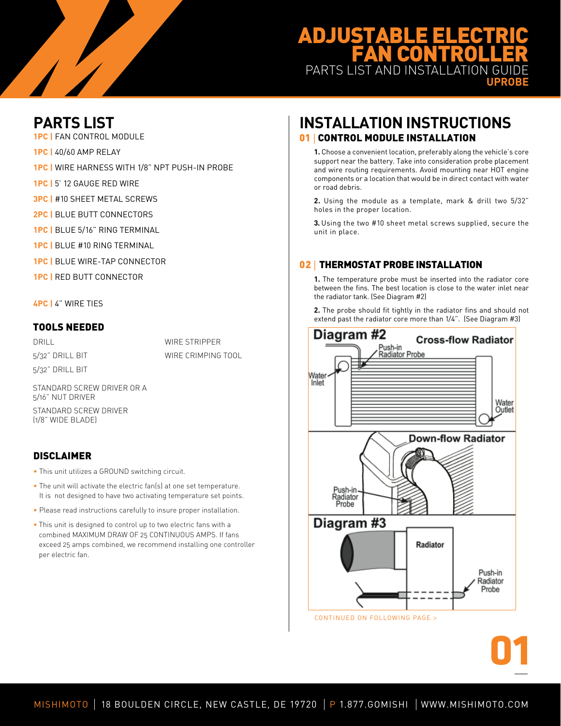# **ADJUSTABL FAN CONTROL** PARTS LIST AND INSTALLATION **UPROBE**

**PARTS LIST**

**1PC |** Fan Control Module

- **1PC |** 40/60 Amp Relay
- **1PC |** Wire harness with 1/8" NPT Push-in Probe
- **1PC |** 5' 12 Gauge Red Wire
- **3PC | #10 SHEET METAL SCREWS**
- **2PC | BLUE BUTT CONNECTORS**
- **1PC |** Blue 5/16" Ring Terminal
- **1PC |** Blue #10 Ring Terminal
- **1PC |** Blue Wire-Tap Connector
- **1PC |** Red Butt Connector

**4PC |** 4" Wire Ties

### Tools Needed

DRILL. 5/32" Drill Bit 5/32" Drill Bit

WIRE STRIPPER Wire Crimping Tool

Standard Screw Driver or a 5/16" NUT DRIVER

Standard Screw Driver (1/8" wide blade)

## **DISCLAIMER**

- This unit utilizes a GROUND switching circuit.
- The unit will activate the electric fan(s) at one set temperature. It is not designed to have two activating temperature set points.
- Please read instructions carefully to insure proper installation.
- This unit is designed to control up to two electric fans with a combined MAXIMUM DRAW OF 25 CONTINUOUS AMPS. If fans exceed 25 amps combined, we recommend installing one controller per electric fan.

## **INSTALLATION INSTRUCTIONS 01 | CONTROL MODULE INSTALLATION**

**1.** Choose a convenient location, preferably along the vehicle's core support near the battery. Take into consideration probe placement and wire routing requirements. Avoid mounting near HOT engine components or a location that would be in direct contact with water or road debris.

**2.** Using the module as a template, mark & drill two 5/32" holes in the proper location.

**3.** Using the two #10 sheet metal screws supplied, secure the unit in place.

## 02 | THERMOSTAT PROBE INSTALLATION

**1.** The temperature probe must be inserted into the radiator core between the fins. The best location is close to the water inlet near the radiator tank. (See Diagram #2)

**2.** The probe should fit tightly in the radiator fins and should not extend past the radiator core more than 1/4". (See Diagram #3)



**01**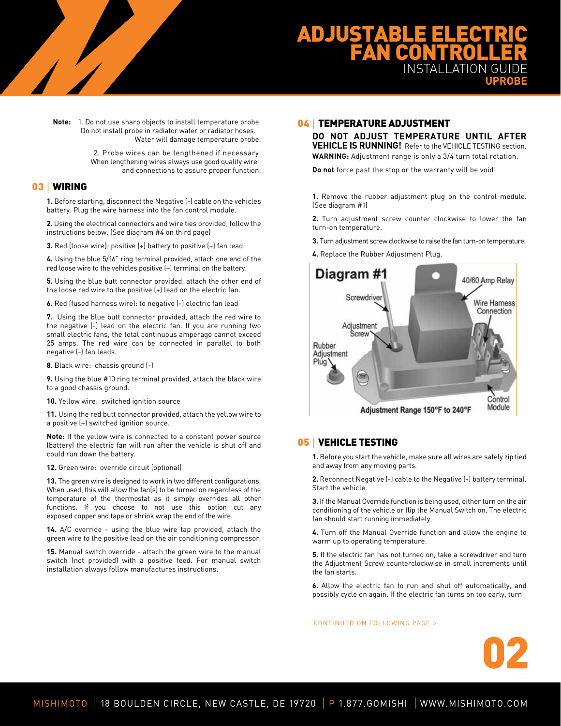# **ADJUSTABLE ELECTR FAN CONTROL INSTALLATION UPROBE**

**Note:** 1. Do not use sharp objects to install temperature probe. Do not install probe in radiator water or radiator hoses. Water will damage temperature probe.

> 2. Probe wires can be lengthened if necessary. When lengthening wires always use good quality wire and connections to assure proper function.

### 03 | WIRING

**1.** Before starting, disconnect the Negative (-) cable on the vehicles battery. Plug the wire harness into the fan control module.

**2.** Using the electrical connectors and wire ties provided, follow the instructions below. (See diagram #4 on third page)

**3.** Red (loose wire): positive (+) battery to positive (+) fan lead

**4.** Using the blue 5/16" ring terminal provided, attach one end of the red loose wire to the vehicles positive (+) terminal on the battery.

**5.** Using the blue butt connector provided, attach the other end of the loose red wire to the positive (+) lead on the electric fan.

**6.** Red (fused harness wire): to negative (-) electric fan lead

**7.** Using the blue butt connector provided, attach the red wire to the negative (-) lead on the electric fan. If you are running two small electric fans, the total continuous amperage cannot exceed 25 amps. The red wire can be connected in parallel to both negative (-) fan leads.

**8.** Black wire: chassis ground (-)

**9.** Using the blue #10 ring terminal provided, attach the black wire to a good chassis ground.

**10.** Yellow wire: switched ignition source

**11.** Using the red butt connector provided, attach the yellow wire to a positive (+) switched ignition source.

**Note:** If the yellow wire is connected to a constant power source (battery) the electric fan will run after the vehicle is shut off and could run down the battery.

**12.** Green wire: override circuit (optional)

**13.** The green wire is designed to work in two different configurations. When used, this will allow the fan(s) to be turned on regardless of the temperature of the thermostat as it simply overrides all other functions. If you choose to not use this option cut any exposed copper and tape or shrink wrap the end of the wire.

**14.** A/C override - using the blue wire tap provided, attach the green wire to the positive lead on the air conditioning compressor.

**15.** Manual switch override - attach the green wire to the manual switch (not provided) with a positive feed. For manual switch installation always follow manufactures instructions.

### 04 | TEMPERATURE ADJUSTMENT

**DO NOT ADJUST TEMPERATURE UNTIL AFTER VEHICLE IS RUNNING!** Refer to the VEHICLE TESTING section. **WARNING:** Adjustment range is only a 3/4 turn total rotation.

**Do not** force past the stop or the warranty will be void!

**1.** Remove the rubber adjustment plug on the control module. (See diagram #1)

**2.** Turn adjustment screw counter clockwise to lower the fan turn-on temperature.

**3.** Turn adjustment screw clockwise to raise the fan turn-on temperature.

**4.** Replace the Rubber Adjustment Plug.



### 05 | VEHICLE TESTING

**1.** Before you start the vehicle, make sure all wires are safely zip tied and away from any moving parts.

**2.** Reconnect Negative (-) cable to the Negative (-) battery terminal. Start the vehicle.

**3.** If the Manual Override function is being used, either turn on the air conditioning of the vehicle or flip the Manual Switch on. The electric fan should start running immediately.

**4.** Turn off the Manual Override function and allow the engine to warm up to operating temperature.

**5.** If the electric fan has not turned on, take a screwdriver and turn the Adjustment Screw counterclockwise in small increments until the fan starts.

**6.** Allow the electric fan to run and shut off automatically, and possibly cycle on again. If the electric fan turns on too early, turn

#### CONTINUED ON FOLLOWING PAGE >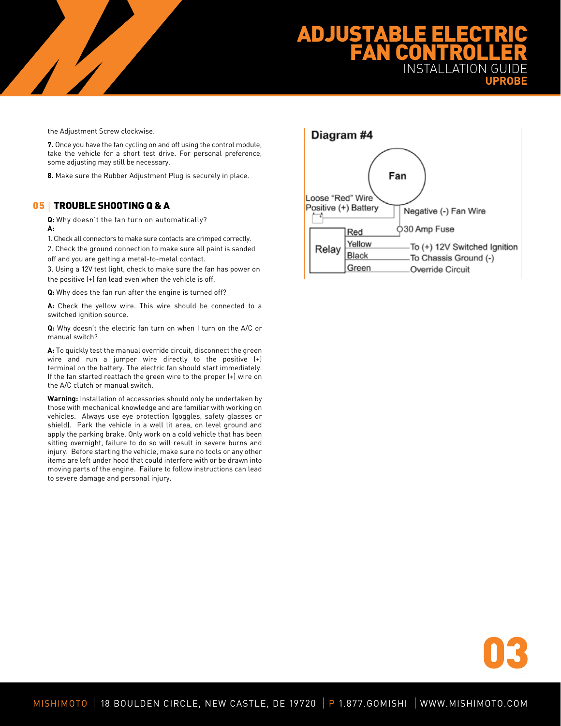# **ADJUSTABLE ELECTR FAN CONTROL INSTAL UPROBE**

the Adjustment Screw clockwise.

 $\overline{ }$ 

**7.** Once you have the fan cycling on and off using the control module, take the vehicle for a short test drive. For personal preference, some adjusting may still be necessary.

**8.** Make sure the Rubber Adjustment Plug is securely in place.

### 05 | TROUBLE SHOOTING Q & A

**Q:** Why doesn't the fan turn on automatically? **A:** 

1. Check all connectors to make sure contacts are crimped correctly. 2. Check the ground connection to make sure all paint is sanded off and you are getting a metal-to-metal contact.

3. Using a 12V test light, check to make sure the fan has power on the positive (+) fan lead even when the vehicle is off.

**Q:** Why does the fan run after the engine is turned off?

**A:** Check the yellow wire. This wire should be connected to a switched ignition source.

**Q:** Why doesn't the electric fan turn on when I turn on the A/C or manual switch?

**A:** To quickly test the manual override circuit, disconnect the green wire and run a jumper wire directly to the positive (+) terminal on the battery. The electric fan should start immediately. If the fan started reattach the green wire to the proper (+) wire on the A/C clutch or manual switch.

**Warning:** Installation of accessories should only be undertaken by those with mechanical knowledge and are familiar with working on vehicles. Always use eye protection (goggles, safety glasses or shield). Park the vehicle in a well lit area, on level ground and apply the parking brake. Only work on a cold vehicle that has been sitting overnight, failure to do so will result in severe burns and injury. Before starting the vehicle, make sure no tools or any other items are left under hood that could interfere with or be drawn into moving parts of the engine. Failure to follow instructions can lead to severe damage and personal injury.



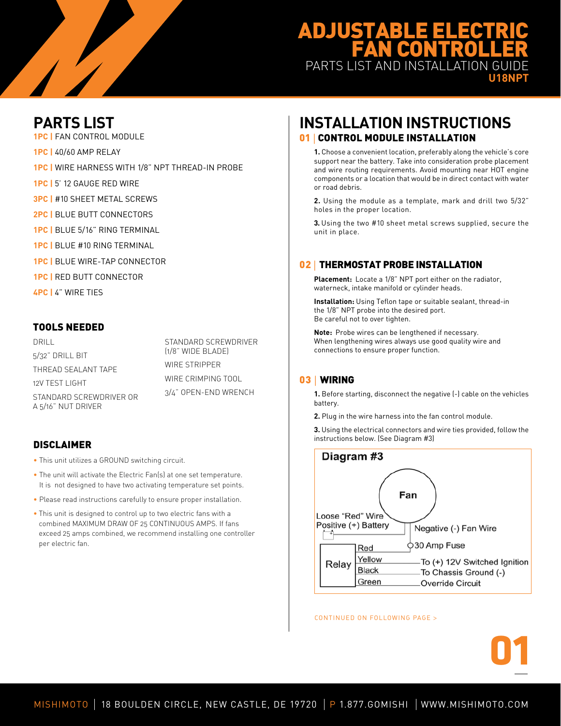# ADJUST **FAN CONTROL** PARTS LIST AND INSTALLATION GUIDE

**U18NPT**

# **PARTS LIST**

**1PC |** Fan Control Module

 $\frac{1}{2}$ 

- **1PC |** 40/60 Amp Relay
- **1PC |** Wire harness with 1/8" NPT Thread-in Probe
- **1PC |** 5' 12 Gauge Red Wire
- **3PC | #10 SHEET METAL SCREWS**
- **2PC | BLUE BUTT CONNECTORS**
- **1PC |** Blue 5/16" Ring Terminal
- **1PC |** Blue #10 Ring Terminal
- **1PC |** Blue Wire-Tap Connector
- **1PC |** Red Butt Connector
- **4PC |** 4" Wire Ties

## Tools Needed

DRILL. 5/32" Drill Bit Thread Sealant Tape 12V TEST LIGHT Standard ScrewDriver or a 5/16" Nut Driver

Standard ScrewDriver (1/8" wide blade) WIRE STRIPPER WIRE CRIMPING TOOL 3/4" Open-End Wrench

## **DISCLAIMER**

- This unit utilizes a GROUND switching circuit.
- The unit will activate the Electric Fan(s) at one set temperature. It is not designed to have two activating temperature set points.
- Please read instructions carefully to ensure proper installation.
- This unit is designed to control up to two electric fans with a combined MAXIMUM DRAW OF 25 CONTINUOUS AMPS. If fans exceed 25 amps combined, we recommend installing one controller per electric fan.

## **INSTALLATION INSTRUCTIONS 01 | CONTROL MODULE INSTALLATION**

**1.** Choose a convenient location, preferably along the vehicle's core support near the battery. Take into consideration probe placement and wire routing requirements. Avoid mounting near HOT engine components or a location that would be in direct contact with water or road debris.

**2.** Using the module as a template, mark and drill two 5/32" holes in the proper location.

**3.** Using the two #10 sheet metal screws supplied, secure the unit in place.

## 02 | THERMOSTAT PROBE INSTALLATION

**Placement:** Locate a 1/8" NPT port either on the radiator, waterneck, intake manifold or cylinder heads.

**Installation:** Using Teflon tape or suitable sealant, thread-in the 1/8" NPT probe into the desired port. Be careful not to over tighten.

**Note:** Probe wires can be lengthened if necessary. When lengthening wires always use good quality wire and connections to ensure proper function.

## 03 | WIRING

**1.** Before starting, disconnect the negative (-) cable on the vehicles battery.

**2.** Plug in the wire harness into the fan control module.

**3.** Using the electrical connectors and wire ties provided, follow the instructions below. (See Diagram #3)



**01**

CONTINUED ON FOLLOWING PAGE >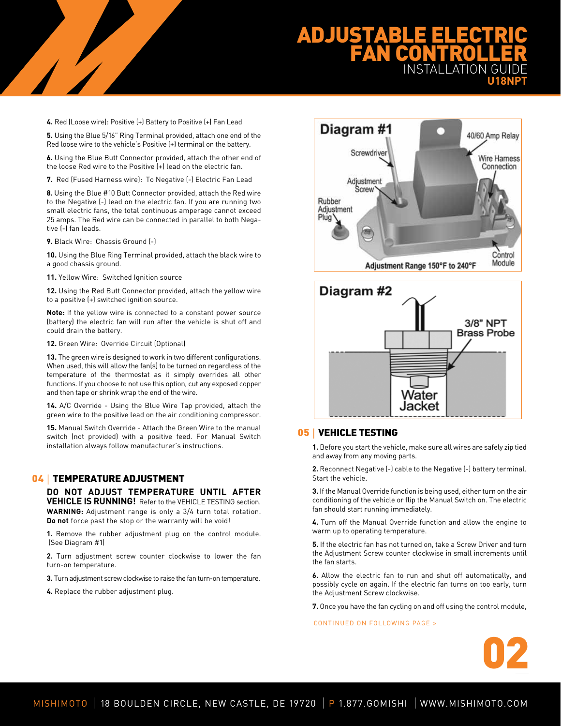# **ADJUSTABLE ELECTR FAN CONTROL** INSTALLATION GUIDE **U18NPT**

**4.** Red (Loose wire): Positive (+) Battery to Positive (+) Fan Lead

**5.** Using the Blue 5/16" Ring Terminal provided, attach one end of the Red loose wire to the vehicle's Positive (+) terminal on the battery.

**6.** Using the Blue Butt Connector provided, attach the other end of the loose Red wire to the Positive (+) lead on the electric fan.

**7.** Red (Fused Harness wire): To Negative (-) Electric Fan Lead

**8.** Using the Blue #10 Butt Connector provided, attach the Red wire to the Negative (-) lead on the electric fan. If you are running two small electric fans, the total continuous amperage cannot exceed 25 amps. The Red wire can be connected in parallel to both Negative (-) fan leads.

**9.** Black Wire: Chassis Ground (-)

 $\overline{ }$ 

**10.** Using the Blue Ring Terminal provided, attach the black wire to a good chassis ground.

**11.** Yellow Wire: Switched Ignition source

**12.** Using the Red Butt Connector provided, attach the yellow wire to a positive (+) switched ignition source.

**Note:** If the yellow wire is connected to a constant power source (battery) the electric fan will run after the vehicle is shut off and could drain the battery.

**12.** Green Wire: Override Circuit (Optional)

**13.** The green wire is designed to work in two different configurations. When used, this will allow the fan(s) to be turned on regardless of the temperature of the thermostat as it simply overrides all other functions. If you choose to not use this option, cut any exposed copper and then tape or shrink wrap the end of the wire.

**14.** A/C Override - Using the Blue Wire Tap provided, attach the green wire to the positive lead on the air conditioning compressor.

**15.** Manual Switch Override - Attach the Green Wire to the manual switch (not provided) with a positive feed. For Manual Switch installation always follow manufacturer's instructions.

### 04 | TEMPERATURE ADJUSTMENT

**DO NOT ADJUST TEMPERATURE UNTIL AFTER VEHICLE IS RUNNING!** Refer to the VEHICLE TESTING section. **WARNING:** Adjustment range is only a 3/4 turn total rotation. **Do not** force past the stop or the warranty will be void!

**1.** Remove the rubber adjustment plug on the control module. (See Diagram #1)

**2.** Turn adjustment screw counter clockwise to lower the fan turn-on temperature.

**3.** Turn adjustment screw clockwise to raise the fan turn-on temperature.

**4.** Replace the rubber adjustment plug.





### 05 | VEHICLE TESTING

**1.** Before you start the vehicle, make sure all wires are safely zip tied and away from any moving parts.

**2.** Reconnect Negative (-) cable to the Negative (-) battery terminal. Start the vehicle.

**3.** If the Manual Override function is being used, either turn on the air conditioning of the vehicle or flip the Manual Switch on. The electric fan should start running immediately.

**4.** Turn off the Manual Override function and allow the engine to warm up to operating temperature.

**5.** If the electric fan has not turned on, take a Screw Driver and turn the Adjustment Screw counter clockwise in small increments until the fan starts.

**6.** Allow the electric fan to run and shut off automatically, and possibly cycle on again. If the electric fan turns on too early, turn the Adjustment Screw clockwise.

**7.** Once you have the fan cycling on and off using the control module,

CONTINUED ON FOLLOWING PAGE >